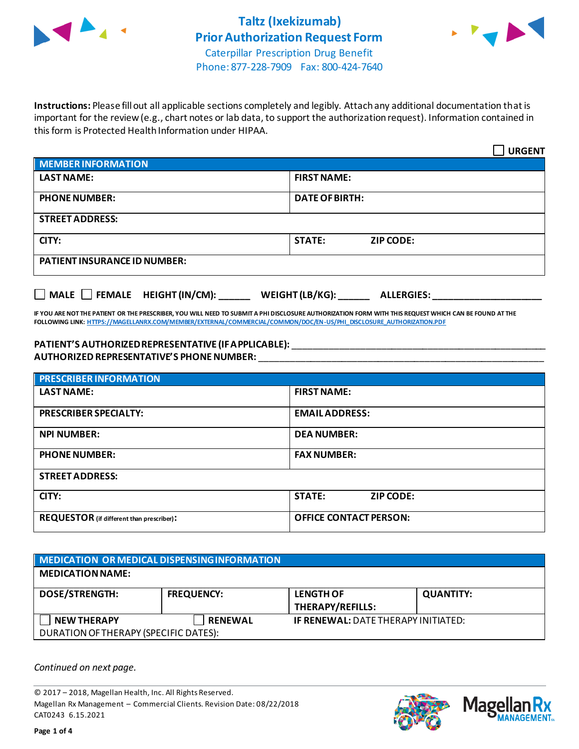



 $\overline{\phantom{0}}$ 

Phone: 877-228-7909 Fax: 800-424-7640

**Instructions:** Please fill out all applicable sections completely and legibly. Attach any additional documentation that is important for the review (e.g., chart notes or lab data, to support the authorization request). Information contained in this form is Protected Health Information under HIPAA.

|                                     | <b>URGENT</b>                     |
|-------------------------------------|-----------------------------------|
| <b>MEMBER INFORMATION</b>           |                                   |
| <b>LAST NAME:</b>                   | <b>FIRST NAME:</b>                |
| <b>PHONE NUMBER:</b>                | <b>DATE OF BIRTH:</b>             |
| <b>STREET ADDRESS:</b>              |                                   |
| CITY:                               | <b>STATE:</b><br><b>ZIP CODE:</b> |
| <b>PATIENT INSURANCE ID NUMBER:</b> |                                   |

**MALE FEMALE HEIGHT (IN/CM): \_\_\_\_\_\_ WEIGHT (LB/KG): \_\_\_\_\_\_ ALLERGIES: \_\_\_\_\_\_\_\_\_\_\_\_\_\_\_\_\_\_\_\_\_**

**IF YOU ARE NOT THE PATIENT OR THE PRESCRIBER, YOU WILL NEED TO SUBMIT A PHI DISCLOSURE AUTHORIZATION FORM WITH THIS REQUEST WHICH CAN BE FOUND AT THE FOLLOWING LINK[: HTTPS://MAGELLANRX.COM/MEMBER/EXTERNAL/COMMERCIAL/COMMON/DOC/EN-US/PHI\\_DISCLOSURE\\_AUTHORIZATION.PDF](https://magellanrx.com/member/external/commercial/common/doc/en-us/PHI_Disclosure_Authorization.pdf)**

## **PATIENT'S AUTHORIZED REPRESENTATIVE (IF APPLICABLE):** \_\_\_\_\_\_\_\_\_\_\_\_\_\_\_\_\_\_\_\_\_\_\_\_\_\_\_\_\_\_\_\_\_\_\_\_\_\_\_\_\_\_\_\_\_\_\_\_\_ **AUTHORIZED REPRESENTATIVE'S PHONE NUMBER:** \_\_\_\_\_\_\_\_\_\_\_\_\_\_\_\_\_\_\_\_\_\_\_\_\_\_\_\_\_\_\_\_\_\_\_\_\_\_\_\_\_\_\_\_\_\_\_\_\_\_\_\_\_\_\_

| <b>PRESCRIBER INFORMATION</b>                    |                                   |
|--------------------------------------------------|-----------------------------------|
| <b>LAST NAME:</b>                                | <b>FIRST NAME:</b>                |
| <b>PRESCRIBER SPECIALTY:</b>                     | <b>EMAILADDRESS:</b>              |
| <b>NPI NUMBER:</b>                               | <b>DEA NUMBER:</b>                |
| <b>PHONE NUMBER:</b>                             | <b>FAX NUMBER:</b>                |
| <b>STREET ADDRESS:</b>                           |                                   |
| CITY:                                            | <b>STATE:</b><br><b>ZIP CODE:</b> |
| <b>REQUESTOR</b> (if different than prescriber): | <b>OFFICE CONTACT PERSON:</b>     |

| MEDICATION OR MEDICAL DISPENSING INFORMATION                |                   |                                             |                  |
|-------------------------------------------------------------|-------------------|---------------------------------------------|------------------|
| <b>MEDICATION NAME:</b>                                     |                   |                                             |                  |
| <b>DOSE/STRENGTH:</b>                                       | <b>FREQUENCY:</b> | <b>LENGTH OF</b><br><b>THERAPY/REFILLS:</b> | <b>QUANTITY:</b> |
| <b>NEW THERAPY</b><br>DURATION OF THERAPY (SPECIFIC DATES): | <b>RENEWAL</b>    | <b>IF RENEWAL: DATE THERAPY INITIATED:</b>  |                  |

*Continued on next page.*

© 2017 – 2018, Magellan Health, Inc. All Rights Reserved. Magellan Rx Management – Commercial Clients. Revision Date: 08/22/2018 CAT0243 6.15.2021



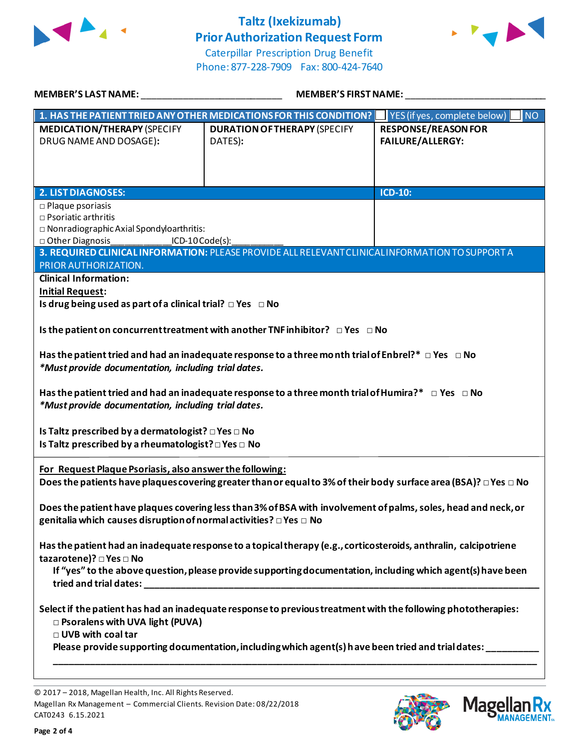

## **Taltz (Ixekizumab) Prior Authorization Request Form**



Caterpillar Prescription Drug Benefit Phone: 877-228-7909 Fax: 800-424-7640

| <b>MEMBER'S LAST NAME:</b>                                                                                                                                       | <b>MEMBER'S FIRST NAME:</b>                                                                                                                                                                                                                                                                                             |                                                |  |
|------------------------------------------------------------------------------------------------------------------------------------------------------------------|-------------------------------------------------------------------------------------------------------------------------------------------------------------------------------------------------------------------------------------------------------------------------------------------------------------------------|------------------------------------------------|--|
|                                                                                                                                                                  | 1. HAS THE PATIENT TRIED ANY OTHER MEDICATIONS FOR THIS CONDITION?                                                                                                                                                                                                                                                      | YES (if yes, complete below)<br><b>NO</b>      |  |
| <b>MEDICATION/THERAPY (SPECIFY</b><br>DRUG NAME AND DOSAGE):                                                                                                     | <b>DURATION OF THERAPY (SPECIFY</b><br>DATES):                                                                                                                                                                                                                                                                          | <b>RESPONSE/REASON FOR</b><br>FAILURE/ALLERGY: |  |
|                                                                                                                                                                  |                                                                                                                                                                                                                                                                                                                         |                                                |  |
| <b>2. LIST DIAGNOSES:</b>                                                                                                                                        |                                                                                                                                                                                                                                                                                                                         | <b>ICD-10:</b>                                 |  |
| $\square$ Plaque psoriasis<br>$\square$ Psoriatic arthritis<br>$\square$ Nonradiographic Axial Spondyloarthritis:<br>□ Other Diagnosis<br>ICD-10 Code(s):        | 3. REQUIRED CLINICAL INFORMATION: PLEASE PROVIDE ALL RELEVANT CLINICAL INFORMATION TO SUPPORT A                                                                                                                                                                                                                         |                                                |  |
| PRIOR AUTHORIZATION.                                                                                                                                             |                                                                                                                                                                                                                                                                                                                         |                                                |  |
| <b>Clinical Information:</b>                                                                                                                                     |                                                                                                                                                                                                                                                                                                                         |                                                |  |
| <b>Initial Request:</b>                                                                                                                                          |                                                                                                                                                                                                                                                                                                                         |                                                |  |
| Is drug being used as part of a clinical trial? $\Box$ Yes $\Box$ No                                                                                             |                                                                                                                                                                                                                                                                                                                         |                                                |  |
| *Must provide documentation, including trial dates.<br>*Must provide documentation, including trial dates.<br>Is Taltz prescribed by a dermatologist? □ Yes □ No | Is the patient on concurrent treatment with another TNF inhibitor? $\Box$ Yes $\Box$ No<br>Has the patient tried and had an inadequate response to a three month trial of Enbrel?* $\Box$ Yes $\Box$ No<br>Has the patient tried and had an inadequate response to a three month trial of Humira?* $\Box$ Yes $\Box$ No |                                                |  |
| For Request Plaque Psoriasis, also answer the following:                                                                                                         | Does the patients have plaques covering greater than or equal to 3% of their body surface area (BSA)? $\Box$ Yes $\Box$ No                                                                                                                                                                                              |                                                |  |
| genitalia which causes disruption of normal activities? □ Yes □ No                                                                                               | Does the patient have plaques covering less than 3% of BSA with involvement of palms, soles, head and neck, or                                                                                                                                                                                                          |                                                |  |
| tazarotene)? □ Yes □ No                                                                                                                                          | Has the patient had an inadequate response to a topical therapy (e.g., corticosteroids, anthralin, calcipotriene<br>If "yes" to the above question, please provide supporting documentation, including which agent(s) have been                                                                                         |                                                |  |
| □ Psoralens with UVA light (PUVA)<br>□ UVB with coal tar                                                                                                         | Select if the patient has had an inadequate response to previous treatment with the following phototherapies:<br>Please provide supporting documentation, including which agent(s) have been tried and trial dates: _____                                                                                               |                                                |  |
|                                                                                                                                                                  |                                                                                                                                                                                                                                                                                                                         |                                                |  |





<sup>© 2017</sup> – 2018, Magellan Health, Inc. All Rights Reserved. Magellan Rx Management – Commercial Clients. Revision Date: 08/22/2018 CAT0243 6.15.2021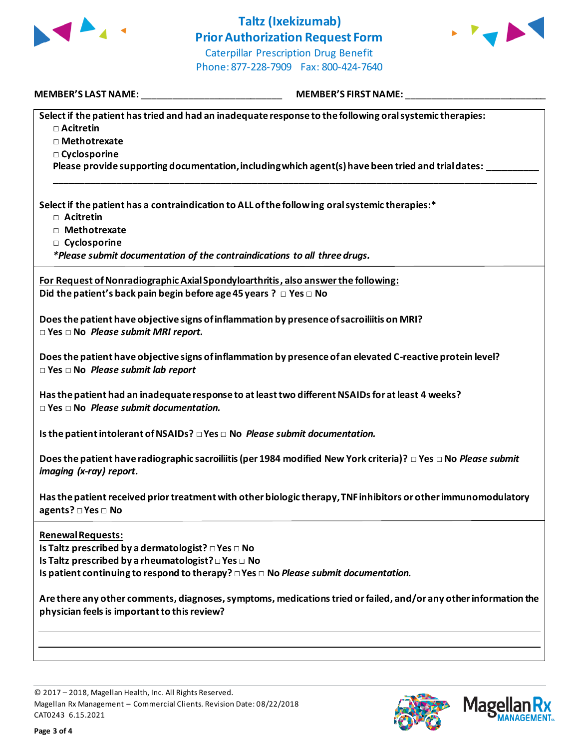

## **Taltz (Ixekizumab) Prior Authorization Request Form** Caterpillar Prescription Drug Benefit

Phone: 877-228-7909 Fax: 800-424-7640



**MEMBER'S LAST NAME:** \_\_\_\_\_\_\_\_\_\_\_\_\_\_\_\_\_\_\_\_\_\_\_\_\_\_\_ **MEMBER'S FIRST NAME:** \_\_\_\_\_\_\_\_\_\_\_\_\_\_\_\_\_\_\_\_\_\_\_\_\_\_\_

| Select if the patient has tried and had an inadequate response to the following oral systemic therapies:         |
|------------------------------------------------------------------------------------------------------------------|
| $\Box$ Acitretin                                                                                                 |
| □ Methotrexate                                                                                                   |
| □ Cyclosporine                                                                                                   |
| Please provide supporting documentation, including which agent(s) have been tried and trial dates:               |
|                                                                                                                  |
| Select if the patient has a contraindication to ALL of the following oral systemic therapies:*<br>□ Acitretin    |
| □ Methotrexate                                                                                                   |
| □ Cyclosporine                                                                                                   |
| *Please submit documentation of the contraindications to all three drugs.                                        |
|                                                                                                                  |
| For Request of Nonradiographic Axial Spondyloarthritis, also answer the following:                               |
| Did the patient's back pain begin before age 45 years ? $\Box$ Yes $\Box$ No                                     |
|                                                                                                                  |
| Does the patient have objective signs of inflammation by presence of sacroiliitis on MRI?                        |
| $\square$ Yes $\square$ No Please submit MRI report.                                                             |
| Does the patient have objective signs of inflammation by presence of an elevated C-reactive protein level?       |
| $\Box$ Yes $\Box$ No Please submit lab report                                                                    |
|                                                                                                                  |
| Has the patient had an inadequate response to at least two different NSAIDs for at least 4 weeks?                |
| $\Box$ Yes $\Box$ No Please submit documentation.                                                                |
|                                                                                                                  |
| Is the patient intolerant of NSAIDs? $\Box$ Yes $\Box$ No <i>Please submit documentation.</i>                    |
| Does the patient have radiographic sacroiliitis (per 1984 modified New York criteria)? □ Yes □ No Please submit  |
| imaging (x-ray) report.                                                                                          |
|                                                                                                                  |
| Has the patient received prior treatment with other biologic therapy, TNF inhibitors or other immunomodulatory   |
| agents? □ Yes □ No                                                                                               |
|                                                                                                                  |
| <b>Renewal Requests:</b>                                                                                         |
|                                                                                                                  |
|                                                                                                                  |
| Is patient continuing to respond to therapy? $\Box$ Yes $\Box$ No Please submit documentation.                   |
|                                                                                                                  |
| Are there any other comments, diagnoses, symptoms, medications tried or failed, and/or any other information the |
| physician feels is important to this review?                                                                     |
|                                                                                                                  |
|                                                                                                                  |
|                                                                                                                  |
|                                                                                                                  |